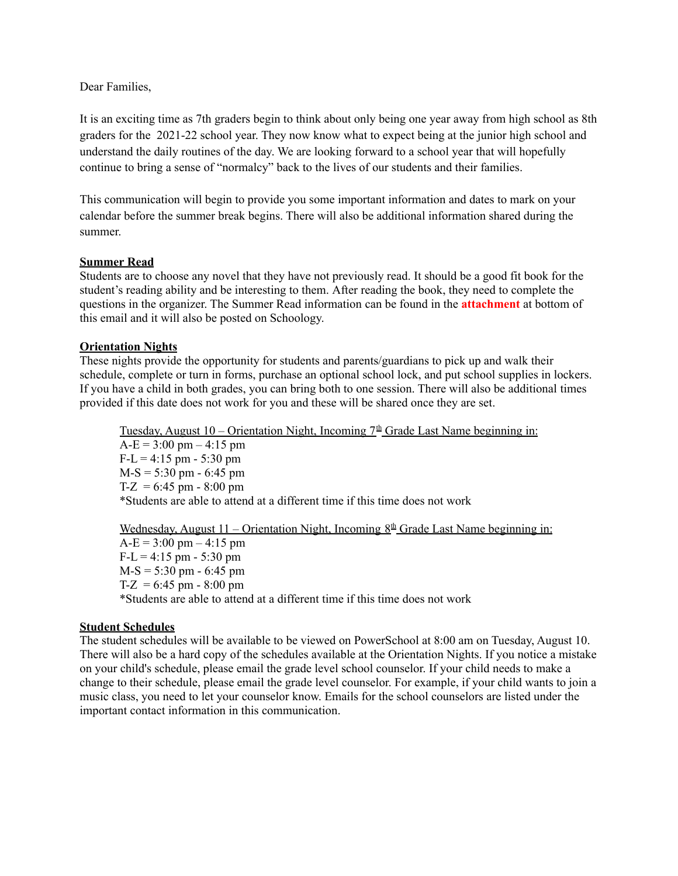Dear Families,

It is an exciting time as 7th graders begin to think about only being one year away from high school as 8th graders for the 2021-22 school year. They now know what to expect being at the junior high school and understand the daily routines of the day. We are looking forward to a school year that will hopefully continue to bring a sense of "normalcy" back to the lives of our students and their families.

This communication will begin to provide you some important information and dates to mark on your calendar before the summer break begins. There will also be additional information shared during the summer.

#### **Summer Read**

Students are to choose any novel that they have not previously read. It should be a good fit book for the student's reading ability and be interesting to them. After reading the book, they need to complete the questions in the organizer. The Summer Read information can be found in the **attachment** at bottom of this email and it will also be posted on Schoology.

#### **Orientation Nights**

These nights provide the opportunity for students and parents/guardians to pick up and walk their schedule, complete or turn in forms, purchase an optional school lock, and put school supplies in lockers. If you have a child in both grades, you can bring both to one session. There will also be additional times provided if this date does not work for you and these will be shared once they are set.

Tuesday, August  $10$  – Orientation Night, Incoming  $7<sup>th</sup>$  Grade Last Name beginning in:  $A-E = 3:00 \text{ pm} - 4:15 \text{ pm}$  $F-L = 4:15 \text{ pm} - 5:30 \text{ pm}$  $M-S = 5:30 \text{ pm} - 6:45 \text{ pm}$ T-Z =  $6:45$  pm -  $8:00$  pm \*Students are able to attend at a different time if this time does not work

Wednesday, August 11 – Orientation Night, Incoming  $8<sup>th</sup>$  Grade Last Name beginning in:

 $A-E = 3:00 \text{ pm} - 4:15 \text{ pm}$  $F-L = 4:15 \text{ pm} - 5:30 \text{ pm}$  $M-S = 5:30 \text{ pm} - 6:45 \text{ pm}$ T-Z =  $6:45$  pm -  $8:00$  pm \*Students are able to attend at a different time if this time does not work

#### **Student Schedules**

The student schedules will be available to be viewed on PowerSchool at 8:00 am on Tuesday, August 10. There will also be a hard copy of the schedules available at the Orientation Nights. If you notice a mistake on your child's schedule, please email the grade level school counselor. If your child needs to make a change to their schedule, please email the grade level counselor. For example, if your child wants to join a music class, you need to let your counselor know. Emails for the school counselors are listed under the important contact information in this communication.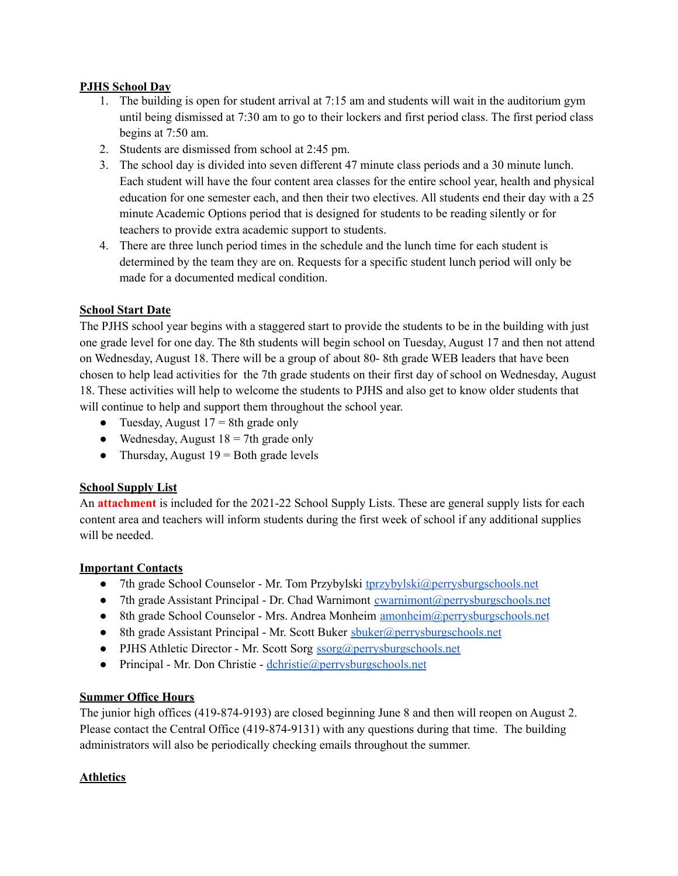# **PJHS School Day**

- 1. The building is open for student arrival at 7:15 am and students will wait in the auditorium gym until being dismissed at 7:30 am to go to their lockers and first period class. The first period class begins at 7:50 am.
- 2. Students are dismissed from school at 2:45 pm.
- 3. The school day is divided into seven different 47 minute class periods and a 30 minute lunch. Each student will have the four content area classes for the entire school year, health and physical education for one semester each, and then their two electives. All students end their day with a 25 minute Academic Options period that is designed for students to be reading silently or for teachers to provide extra academic support to students.
- 4. There are three lunch period times in the schedule and the lunch time for each student is determined by the team they are on. Requests for a specific student lunch period will only be made for a documented medical condition.

# **School Start Date**

The PJHS school year begins with a staggered start to provide the students to be in the building with just one grade level for one day. The 8th students will begin school on Tuesday, August 17 and then not attend on Wednesday, August 18. There will be a group of about 80- 8th grade WEB leaders that have been chosen to help lead activities for the 7th grade students on their first day of school on Wednesday, August 18. These activities will help to welcome the students to PJHS and also get to know older students that will continue to help and support them throughout the school year.

- Tuesday, August  $17 = 8$ th grade only
- Wednesday, August  $18 = 7$ th grade only
- Thursday, August  $19 =$  Both grade levels

# **School Supply List**

An **attachment** is included for the 2021-22 School Supply Lists. These are general supply lists for each content area and teachers will inform students during the first week of school if any additional supplies will be needed.

# **Important Contacts**

- 7th grade School Counselor Mr. Tom Przybylski [tprzybylski@perrysburgschools.net](mailto:tprzybylski@perrysburgschools.net)
- 7th grade Assistant Principal Dr. Chad Warnimont cwarnimont @perrysburgschools.net
- 8th grade School Counselor Mrs. Andrea Monheim [amonheim@perrysburgschools.net](mailto:amonheim@perrysburgschools.net)
- 8th grade Assistant Principal Mr. Scott Buker [sbuker@perrysburgschools.net](mailto:sbuker@perrysburgschools.net)
- PJHS Athletic Director Mr. Scott Sorg [ssorg@perrysburgschools.net](mailto:ssorg@perrysburgschools.net)
- Principal Mr. Don Christie [dchristie@perrysburgschools.net](mailto:dchristie@perrysburgschools.net)

# **Summer Office Hours**

The junior high offices (419-874-9193) are closed beginning June 8 and then will reopen on August 2. Please contact the Central Office (419-874-9131) with any questions during that time. The building administrators will also be periodically checking emails throughout the summer.

# **Athletics**